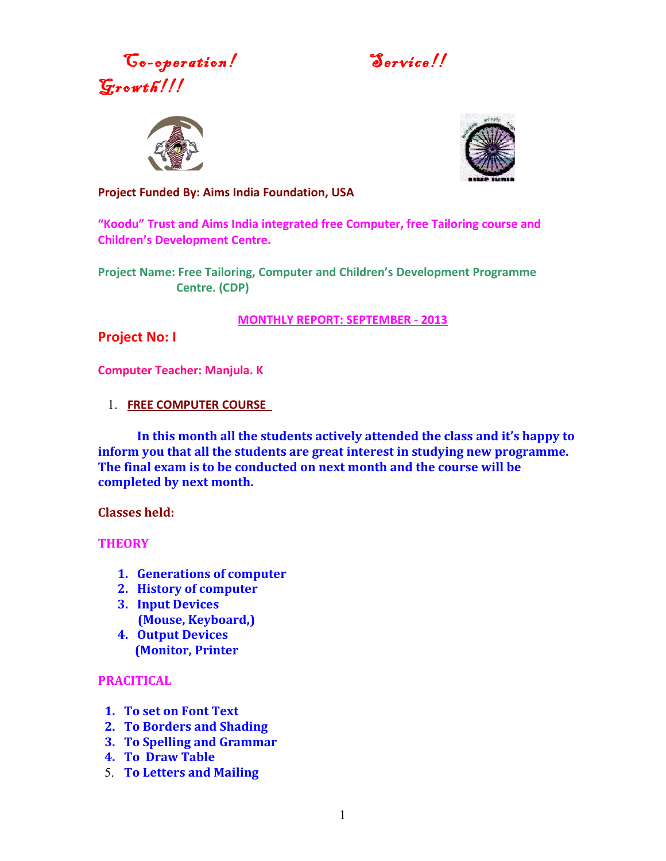Go-operation! Service!!  $\mathcal{G}$ rowth!!!





**Project Funded By: Aims India Foundation, USA**

**"Koodu" Trust and Aims India integrated free Computer, free Tailoring course and Children's Development Centre.**

**Project Name: Free Tailoring, Computer and Children's Development Programme Centre. (CDP)**

**MONTHLY REPORT: SEPTEMBER - 2013**

**Project No: I**

**Computer Teacher: Manjula. K**

1. **FREE COMPUTER COURSE** 

**In this month all the students actively attended the class and it's happy to inform you that all the students are great interest in studying new programme. The final exam is to be conducted on next month and the course will be completed by next month.**

**Classes held:**

**THEORY** 

- **1. Generations of computer**
- **2. History of computer**
- **3. Input Devices (Mouse, Keyboard,)**
- **4. Output Devices (Monitor, Printer**

### **PRACITICAL**

- **1. To set on Font Text**
- **2. To Borders and Shading**
- **3. To Spelling and Grammar**
- **4. To Draw Table**
- 5. **To Letters and Mailing**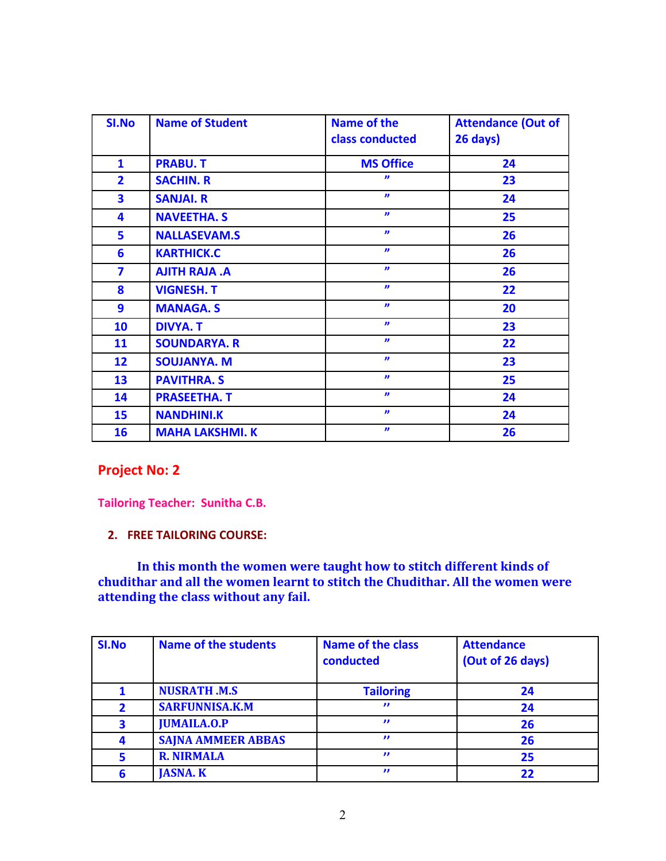| SI.No                   | <b>Name of Student</b> | <b>Name of the</b><br>class conducted | <b>Attendance (Out of</b><br>26 days) |  |  |
|-------------------------|------------------------|---------------------------------------|---------------------------------------|--|--|
| $\mathbf{1}$            | <b>PRABU.T</b>         | <b>MS Office</b>                      | 24                                    |  |  |
| $\overline{2}$          | <b>SACHIN. R</b>       | $\boldsymbol{v}$                      | 23                                    |  |  |
| $\overline{\mathbf{3}}$ | <b>SANJAI. R</b>       | $\boldsymbol{\eta}$                   | 24                                    |  |  |
| 4                       | <b>NAVEETHA. S</b>     | $\boldsymbol{\eta}$                   | 25                                    |  |  |
| 5                       | <b>NALLASEVAM.S</b>    | $\boldsymbol{v}$                      | 26                                    |  |  |
| 6                       | <b>KARTHICK.C</b>      | $\boldsymbol{\eta}$                   | 26                                    |  |  |
| $\overline{\mathbf{z}}$ | <b>AJITH RAJA .A</b>   | $\boldsymbol{\eta}$                   | 26                                    |  |  |
| 8                       | <b>VIGNESH. T</b>      | $\boldsymbol{\eta}$                   | 22                                    |  |  |
| $\overline{9}$          | <b>MANAGA.S</b>        | $\boldsymbol{\eta}$                   | 20                                    |  |  |
| 10                      | <b>DIVYA. T</b>        | $\boldsymbol{\eta}$                   | 23                                    |  |  |
| 11                      | <b>SOUNDARYA. R</b>    | $\boldsymbol{\eta}$                   | 22                                    |  |  |
| 12                      | <b>SOUJANYA. M</b>     | $\boldsymbol{v}$                      | 23                                    |  |  |
| 13                      | <b>PAVITHRA. S</b>     | $\boldsymbol{\eta}$                   | 25                                    |  |  |
| 14                      | <b>PRASEETHA. T</b>    | $\boldsymbol{\eta}$                   | 24                                    |  |  |
| 15                      | <b>NANDHINI.K</b>      | $\boldsymbol{v}$                      | 24                                    |  |  |
| 16                      | <b>MAHA LAKSHMI. K</b> | $\boldsymbol{\eta}$                   | 26                                    |  |  |

# **Project No: 2**

**Tailoring Teacher: Sunitha C.B.**

**2. FREE TAILORING COURSE:**

**In this month the women were taught how to stitch different kinds of chudithar and all the women learnt to stitch the Chudithar. All the women were attending the class without any fail.**

| SI.No | <b>Name of the students</b> | <b>Name of the class</b><br>conducted | <b>Attendance</b><br>(Out of 26 days) |
|-------|-----------------------------|---------------------------------------|---------------------------------------|
|       | <b>NUSRATH .M.S</b>         | <b>Tailoring</b>                      | 24                                    |
| 2     | <b>SARFUNNISA.K.M</b>       | $\mathbf{v}$                          | 24                                    |
| 3     | <b>JUMAILA.O.P</b>          | $\boldsymbol{\eta}$                   | 26                                    |
| 4     | <b>SAJNA AMMEER ABBAS</b>   | $\mathbf{r}$                          | 26                                    |
| 5     | <b>R. NIRMALA</b>           | $\boldsymbol{\eta}$                   | 25                                    |
| 6     | <b>JASNA. K</b>             | $\mathbf{H}$                          | 22                                    |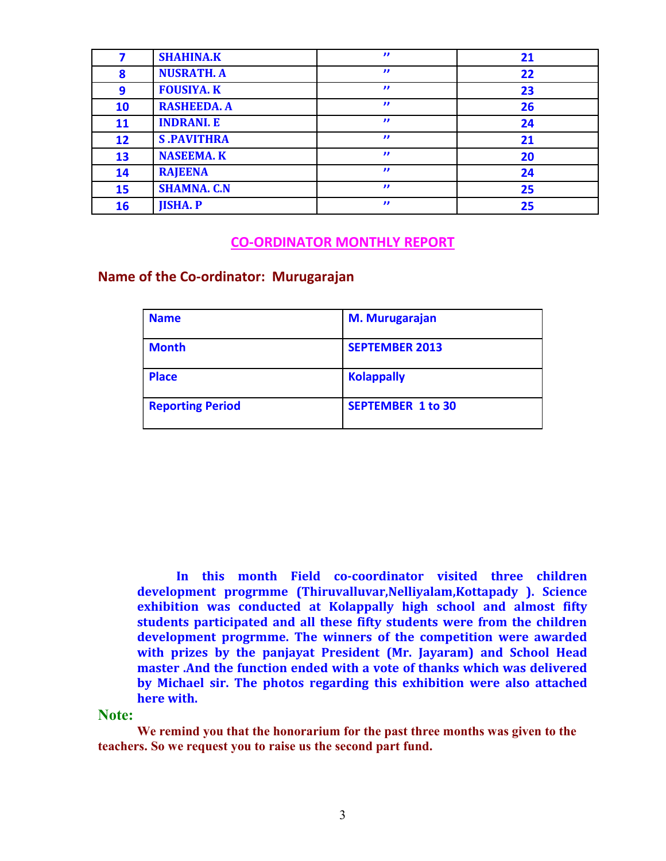|    | <b>SHAHINA.K</b>   | $\boldsymbol{\eta}$ | 21 |
|----|--------------------|---------------------|----|
| 8  | <b>NUSRATH. A</b>  | $\mathbf{v}$        | 22 |
| 9  | <b>FOUSIYA. K</b>  | $\mathbf{v}$        | 23 |
| 10 | <b>RASHEEDA. A</b> | $\mathbf{v}$        | 26 |
| 11 | <b>INDRANI. E</b>  | $\mathbf{v}$        | 24 |
| 12 | <b>S.PAVITHRA</b>  | $\mathbf{v}$        | 21 |
| 13 | <b>NASEEMA. K</b>  | $\mathbf{v}$        | 20 |
| 14 | <b>RAJEENA</b>     | $\mathbf{v}$        | 24 |
| 15 | <b>SHAMNA. C.N</b> | $\mathbf{v}$        | 25 |
| 16 | <b>JISHA. P</b>    | $\boldsymbol{\eta}$ | 25 |

### **CO-ORDINATOR MONTHLY REPORT**

### **Name of the Co-ordinator: Murugarajan**

| <b>Name</b>             | <b>M. Murugarajan</b>    |
|-------------------------|--------------------------|
| <b>Month</b>            | <b>SEPTEMBER 2013</b>    |
| <b>Place</b>            | <b>Kolappally</b>        |
| <b>Reporting Period</b> | <b>SEPTEMBER 1 to 30</b> |

**In this month Field co-coordinator visited three children development progrmme (Thiruvalluvar,Nelliyalam,Kottapady ). Science exhibition was conducted at Kolappally high school and almost fifty students participated and all these fifty students were from the children development progrmme. The winners of the competition were awarded with prizes by the panjayat President (Mr. Jayaram) and School Head master .And the function ended with a vote of thanks which was delivered by Michael sir. The photos regarding this exhibition were also attached here with.**

#### **Note:**

**We remind you that the honorarium for the past three months was given to the teachers. So we request you to raise us the second part fund.**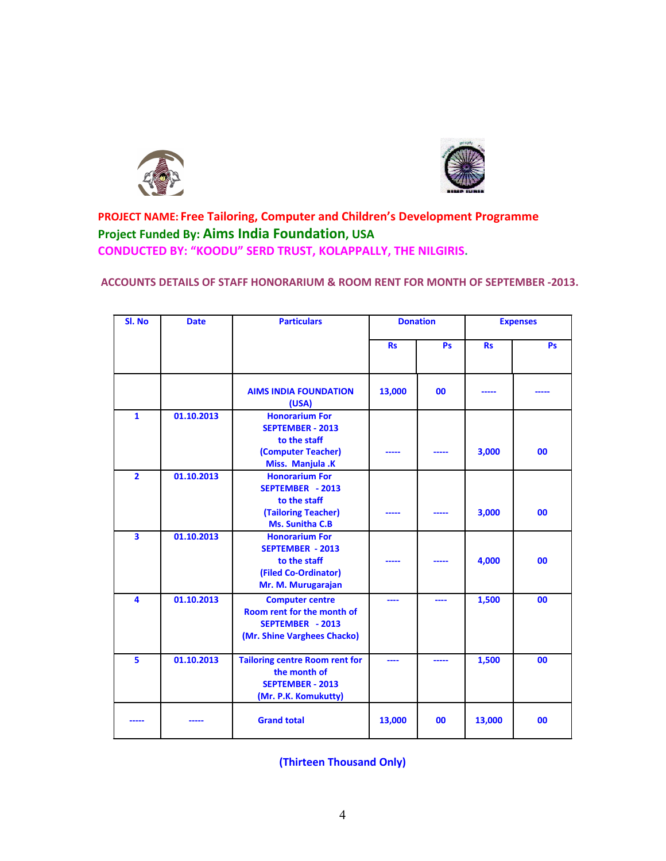



## **PROJECT NAME: Free Tailoring, Computer and Children's Development Programme Project Funded By: Aims India Foundation, USA CONDUCTED BY: "KOODU" SERD TRUST, KOLAPPALLY, THE NILGIRIS.**

#### **ACCOUNTS DETAILS OF STAFF HONORARIUM & ROOM RENT FOR MONTH OF SEPTEMBER -2013.**

| SI. No                  | <b>Date</b> | <b>Particulars</b>                                                                                             | <b>Donation</b> |           | <b>Expenses</b> |           |
|-------------------------|-------------|----------------------------------------------------------------------------------------------------------------|-----------------|-----------|-----------------|-----------|
|                         |             |                                                                                                                | <b>Rs</b>       | <b>Ps</b> | <b>Rs</b>       | <b>Ps</b> |
|                         |             | <b>AIMS INDIA FOUNDATION</b><br>(USA)                                                                          | 13,000          | 00        |                 |           |
| $\mathbf{1}$            | 01.10.2013  | <b>Honorarium For</b><br><b>SEPTEMBER - 2013</b><br>to the staff<br>(Computer Teacher)<br>Miss. Manjula .K     |                 |           | 3,000           | 00        |
| $\overline{\mathbf{2}}$ | 01.10.2013  | <b>Honorarium For</b><br>SEPTEMBER - 2013<br>to the staff<br>(Tailoring Teacher)<br>Ms. Sunitha C.B            |                 |           | 3,000           | 00        |
| 3                       | 01.10.2013  | <b>Honorarium For</b><br><b>SEPTEMBER - 2013</b><br>to the staff<br>(Filed Co-Ordinator)<br>Mr. M. Murugarajan |                 |           | 4,000           | 00        |
| 4                       | 01.10.2013  | <b>Computer centre</b><br>Room rent for the month of<br>SEPTEMBER - 2013<br>(Mr. Shine Varghees Chacko)        | ----            |           | 1,500           | 00        |
| 5                       | 01.10.2013  | <b>Tailoring centre Room rent for</b><br>the month of<br><b>SEPTEMBER - 2013</b><br>(Mr. P.K. Komukutty)       | ----            | -----     | 1,500           | 00        |
|                         |             | <b>Grand total</b>                                                                                             | 13,000          | 00        | 13,000          | 00        |

**(Thirteen Thousand Only)**